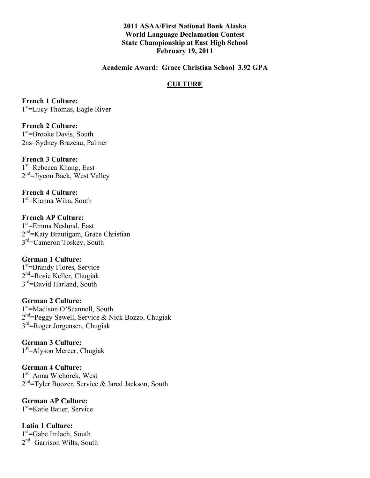**2011 ASAA/First National Bank Alaska World Language Declamation Contest State Championship at East High School February 19, 2011**

**Academic Award: Grace Christian School 3.92 GPA**

## **CULTURE**

**French 1 Culture:** 1<sup>st</sup>=Lucy Thomas, Eagle River

**French 2 Culture:** 1<sup>st</sup>=Brooke Davis, South 2ns=Sydney Brazeau, Palmer

**French 3 Culture:** 1<sup>st</sup>=Rebecca Khang, East 2<sup>nd</sup>=Jiyeon Baek, West Valley

**French 4 Culture:** 1<sup>st</sup>=Kianna Wika, South

**French AP Culture:** 1<sup>st</sup>=Emma Neslund, East 2<sup>nd</sup>=Katy Brautigam, Grace Christian 3<sup>rd</sup>=Cameron Toskey, South

**German 1 Culture:** 1<sup>st</sup>=Brandy Flores, Service 2<sup>nd</sup>=Rosie Keller, Chugiak 3<sup>rd</sup>=David Harland, South

**German 2 Culture:** 1<sup>st</sup>=Madison O'Scannell, South 2<sup>nd</sup>=Peggy Sewell, Service & Nick Bozzo, Chugiak 3rd=Roger Jorgensen, Chugiak

**German 3 Culture:** 1<sup>st</sup>=Alyson Mercer, Chugiak

**German 4 Culture:** 1<sup>st</sup>=Anna Wichorek, West 2<sup>nd</sup>=Tyler Boozer, Service & Jared Jackson, South

**German AP Culture:** 1st =Katie Bauer, Service

**Latin 1 Culture:** 1<sup>st</sup>=Gabe Imlach, South 2<sup>nd</sup>=Garrison Wilts, South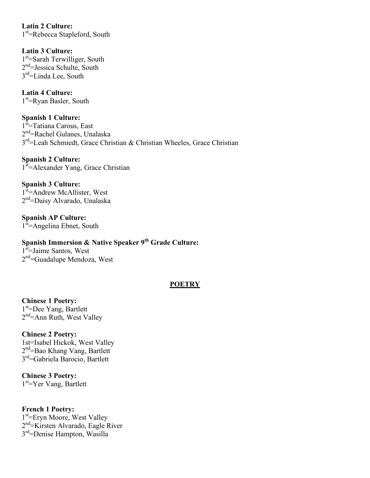**Latin 2 Culture:** 1<sup>st</sup>=Rebecca Stapleford, South

**Latin 3 Culture:** 1<sup>st</sup>=Sarah Terwilliger, South 2<sup>nd</sup>=Jessica Schulte, South 3<sup>rd</sup>=Linda Lee, South

**Latin 4 Culture:** 1<sup>st</sup>=Ryan Basler, South

**Spanish 1 Culture:** 1<sup>st</sup>=Tatiana Carous, East 2<sup>nd</sup>=Rachel Gulanes, Unalaska 3<sup>rd</sup>=Leah Schmiedt, Grace Christian & Christian Wheeles, Grace Christian

**Spanish 2 Culture:** 1<sup>st</sup>=Alexander Yang, Grace Christian

**Spanish 3 Culture:** 1<sup>st</sup>=Andrew McAllister, West 2<sup>nd</sup>=Daisy Alvarado, Unalaska

**Spanish AP Culture:** 1<sup>st</sup>=Angelina Ebnet, South

# **Spanish Immersion & Native Speaker 9th Grade Culture:**

1<sup>st</sup>=Jaime Santos, West 2<sup>nd</sup>=Guadalupe Mendoza, West

# **POETRY**

**Chinese 1 Poetry:** 1<sup>st</sup>=Dee Yang, Bartlett 2<sup>nd</sup>=Ann Ruth, West Valley

**Chinese 2 Poetry:** 1st=Isabel Hickok, West Valley 2<sup>nd</sup>=Bao Khang Vang, Bartlett 3rd=Gabriela Barocio, Bartlett

**Chinese 3 Poetry:** 1<sup>st</sup>=Yer Vang, Bartlett

**French 1 Poetry:** 1<sup>st</sup>=Eryn Moore, West Valley 2<sup>nd</sup>=Kirsten Alvarado, Eagle River 3rd=Denise Hampton, Wasilla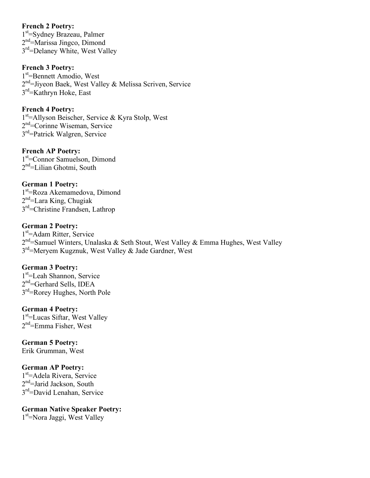# **French 2 Poetry:**

1<sup>st</sup>=Sydney Brazeau, Palmer 2<sup>nd</sup>=Marissa Jingco, Dimond 3<sup>rd</sup>=Delaney White, West Valley

# **French 3 Poetry:**

1<sup>st</sup>=Bennett Amodio, West 2<sup>nd</sup>=Jiyeon Baek, West Valley & Melissa Scriven, Service 3<sup>rd</sup>=Kathryn Hoke, East

# **French 4 Poetry:**

1<sup>st</sup>=Allyson Beischer, Service & Kyra Stolp, West 2nd =Corinne Wiseman, Service 3rd=Patrick Walgren, Service

## **French AP Poetry:**

1st =Connor Samuelson, Dimond 2<sup>nd</sup>=Lilian Ghotmi, South

# **German 1 Poetry:**

1<sup>st</sup>=Roza Akemamedova, Dimond 2<sup>nd</sup>=Lara King, Chugiak 3rd=Christine Frandsen, Lathrop

# **German 2 Poetry:**

1<sup>st</sup>=Adam Ritter, Service 2<sup>nd</sup>=Samuel Winters, Unalaska & Seth Stout, West Valley & Emma Hughes, West Valley  $3<sup>rd</sup>$ =Meryem Kugznuk, West Valley & Jade Gardner, West

# **German 3 Poetry:**

1st =Leah Shannon, Service 2<sup>nd</sup>=Gerhard Sells, IDEA 3rd=Rorey Hughes, North Pole

## **German 4 Poetry:**

1<sup>st</sup>=Lucas Siftar, West Valley 2<sup>nd</sup>=Emma Fisher, West

#### **German 5 Poetry:** Erik Grumman, West

#### **German AP Poetry:**

1<sup>st</sup>=Adela Rivera, Service 2<sup>nd</sup>=Jarid Jackson, South 3rd=David Lenahan, Service

# **German Native Speaker Poetry:**

1<sup>st</sup>=Nora Jaggi, West Valley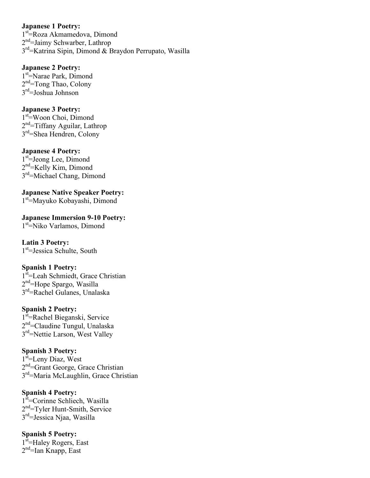## **Japanese 1 Poetry:**

1<sup>st</sup>=Roza Akmamedova, Dimond 2<sup>nd</sup>=Jaimy Schwarber, Lathrop 3rd=Katrina Sipin, Dimond & Braydon Perrupato, Wasilla

# **Japanese 2 Poetry:**

1<sup>st</sup>=Narae Park, Dimond 2<sup>nd</sup>=Tong Thao, Colony  $3<sup>rd</sup>=Joshua$  Johnson

# **Japanese 3 Poetry:**

1<sup>st</sup>=Woon Choi, Dimond 2<sup>nd</sup>=Tiffany Aguilar, Lathrop 3rd=Shea Hendren, Colony

## **Japanese 4 Poetry:**

1<sup>st</sup>=Jeong Lee, Dimond 2<sup>nd</sup>=Kelly Kim, Dimond 3<sup>rd</sup>=Michael Chang, Dimond

**Japanese Native Speaker Poetry:** 1st =Mayuko Kobayashi, Dimond

**Japanese Immersion 9-10 Poetry:** 1<sup>st</sup>=Niko Varlamos, Dimond

# **Latin 3 Poetry:**

1<sup>st</sup>=Jessica Schulte, South

#### **Spanish 1 Poetry:**

1<sup>st</sup>=Leah Schmiedt, Grace Christian 2<sup>nd</sup>=Hope Spargo, Wasilla 3rd=Rachel Gulanes, Unalaska

# **Spanish 2 Poetry:**

1<sup>st</sup>=Rachel Bieganski, Service 2<sup>nd</sup>=Claudine Tungul, Unalaska 3<sup>rd</sup>=Nettie Larson, West Valley

#### **Spanish 3 Poetry:**

1<sup>st</sup>=Leny Diaz, West 2<sup>nd</sup>=Grant George, Grace Christian 3<sup>rd</sup>=Maria McLaughlin, Grace Christian

#### **Spanish 4 Poetry:**

1<sup>st</sup>=Corinne Schliech, Wasilla 2<sup>nd</sup>=Tyler Hunt-Smith, Service 3rd=Jessica Njaa, Wasilla

# **Spanish 5 Poetry:**

1<sup>st</sup>=Haley Rogers, East 2<sup>nd</sup>=Ian Knapp, East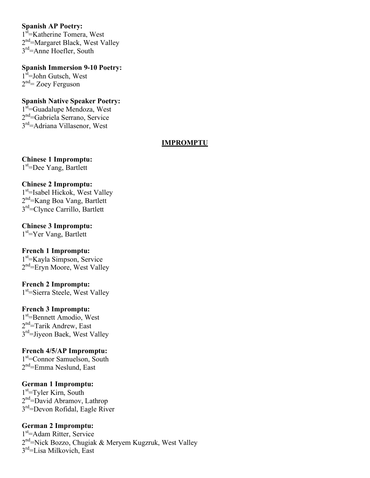# **Spanish AP Poetry:**

1<sup>st</sup>=Katherine Tomera, West 2<sup>nd</sup>=Margaret Black, West Valley 3rd=Anne Hoefler, South

**Spanish Immersion 9-10 Poetry:** 1<sup>st</sup>=John Gutsch, West 2<sup>nd</sup>= Zoey Ferguson

**Spanish Native Speaker Poetry:** 1<sup>st</sup>=Guadalupe Mendoza, West 2<sup>nd</sup>=Gabriela Serrano, Service 3rd=Adriana Villasenor, West

#### **IMPROMPTU**

**Chinese 1 Impromptu:** 1st =Dee Yang, Bartlett

## **Chinese 2 Impromptu:**

1<sup>st</sup>=Isabel Hickok, West Valley 2<sup>nd</sup>=Kang Boa Vang, Bartlett 3<sup>rd</sup>=Clynce Carrillo, Bartlett

**Chinese 3 Impromptu:**

1<sup>st</sup>=Yer Vang, Bartlett

#### **French 1 Impromptu:**

1st =Kayla Simpson, Service 2<sup>nd</sup>=Eryn Moore, West Valley

# **French 2 Impromptu:**

1<sup>st</sup>=Sierra Steele, West Valley

#### **French 3 Impromptu:**

1st =Bennett Amodio, West 2<sup>nd</sup>=Tarik Andrew, East 3<sup>rd</sup>=Jiyeon Baek, West Valley

#### **French 4/5/AP Impromptu:**

1<sup>st</sup>=Connor Samuelson, South 2<sup>nd</sup>=Emma Neslund, East

# **German 1 Impromptu:**

1<sup>st</sup>=Tyler Kirn, South 2<sup>nd</sup>=David Abramov, Lathrop 3<sup>rd</sup>=Devon Rofidal, Eagle River

# **German 2 Impromptu:**

1st =Adam Ritter, Service 2<sup>nd</sup>=Nick Bozzo, Chugiak & Meryem Kugzruk, West Valley 3<sup>rd</sup>=Lisa Milkovich, East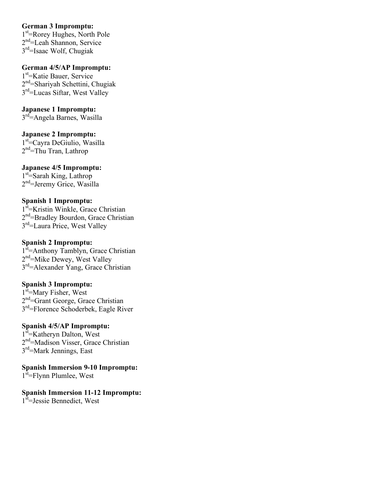## **German 3 Impromptu:**

1st =Rorey Hughes, North Pole 2<sup>nd</sup>=Leah Shannon, Service 3rd=Isaac Wolf, Chugiak

**German 4/5/AP Impromptu:** 1st =Katie Bauer, Service 2<sup>nd</sup>=Shariyah Schettini, Chugiak 3<sup>rd</sup>=Lucas Siftar, West Valley

# **Japanese 1 Impromptu:**

3<sup>rd</sup>=Angela Barnes, Wasilla

**Japanese 2 Impromptu:** 1<sup>st</sup>=Cayra DeGiulio, Wasilla 2<sup>nd</sup>=Thu Tran, Lathrop

# **Japanese 4/5 Impromptu:**

1<sup>st</sup>=Sarah King, Lathrop 2<sup>nd</sup>=Jeremy Grice, Wasilla

# **Spanish 1 Impromptu:**

1<sup>st</sup>=Kristin Winkle, Grace Christian 2<sup>nd</sup>=Bradley Bourdon, Grace Christian 3<sup>rd</sup>=Laura Price, West Valley

# **Spanish 2 Impromptu:**

1<sup>st</sup>=Anthony Tamblyn, Grace Christian 2<sup>nd</sup>=Mike Dewey, West Valley 3rd=Alexander Yang, Grace Christian

# **Spanish 3 Impromptu:**

1<sup>st</sup>=Mary Fisher, West 2<sup>nd</sup>=Grant George, Grace Christian 3rd=Florence Schoderbek, Eagle River

# **Spanish 4/5/AP Impromptu:**

1<sup>st</sup> = Katheryn Dalton, West 2<sup>nd</sup>=Madison Visser, Grace Christian 3<sup>rd</sup>=Mark Jennings, East

**Spanish Immersion 9-10 Impromptu:** 1<sup>st</sup>=Flynn Plumlee, West

**Spanish Immersion 11-12 Impromptu:** 1<sup>st</sup>=Jessie Bennedict, West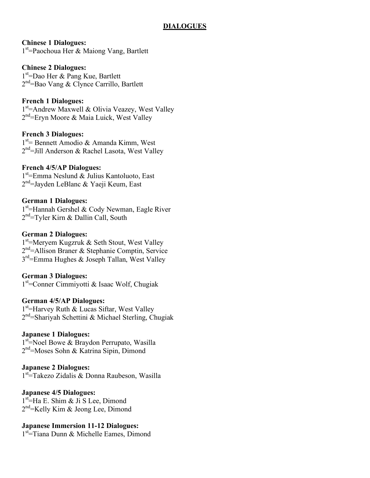# **DIALOGUES**

## **Chinese 1 Dialogues:**

1<sup>st</sup>=Paochoua Her & Maiong Vang, Bartlett

# **Chinese 2 Dialogues:**

1st =Dao Her & Pang Kue, Bartlett 2<sup>nd</sup>=Bao Vang & Clynce Carrillo, Bartlett

# **French 1 Dialogues:**

1<sup>st</sup>=Andrew Maxwell & Olivia Veazey, West Valley 2<sup>nd</sup>=Eryn Moore & Maia Luick, West Valley

## **French 3 Dialogues:**

1<sup>st</sup> = Bennett Amodio & Amanda Kimm, West 2<sup>nd</sup>=Jill Anderson & Rachel Lasota, West Valley

# **French 4/5/AP Dialogues:**

1st =Emma Neslund & Julius Kantoluoto, East 2<sup>nd</sup>=Jayden LeBlanc & Yaeji Keum, East

## **German 1 Dialogues:**

1<sup>st</sup>=Hannah Gershel & Cody Newman, Eagle River 2<sup>nd</sup>=Tyler Kirn & Dallin Call, South

## **German 2 Dialogues:**

1<sup>st</sup>=Meryem Kugzruk & Seth Stout, West Valley 2<sup>nd</sup>=Allison Braner & Stephanie Comptin, Service  $3<sup>rd</sup>$ =Emma Hughes & Joseph Tallan, West Valley

#### **German 3 Dialogues:**

1st =Conner Cimmiyotti & Isaac Wolf, Chugiak

#### **German 4/5/AP Dialogues:**

1<sup>st</sup>=Harvey Ruth & Lucas Siftar, West Valley 2<sup>nd</sup>=Shariyah Schettini & Michael Sterling, Chugiak

#### **Japanese 1 Dialogues:**

1<sup>st</sup>=Noel Bowe & Braydon Perrupato, Wasilla 2nd =Moses Sohn & Katrina Sipin, Dimond

# **Japanese 2 Dialogues:**

1<sup>st</sup> Takezo Zidalis & Donna Raubeson, Wasilla

#### **Japanese 4/5 Dialogues:**

1<sup>st</sup>=Ha E. Shim & Ji S Lee, Dimond 2<sup>nd</sup>=Kelly Kim & Jeong Lee, Dimond

#### **Japanese Immersion 11-12 Dialogues:**

1<sup>st</sup> Tiana Dunn & Michelle Eames, Dimond